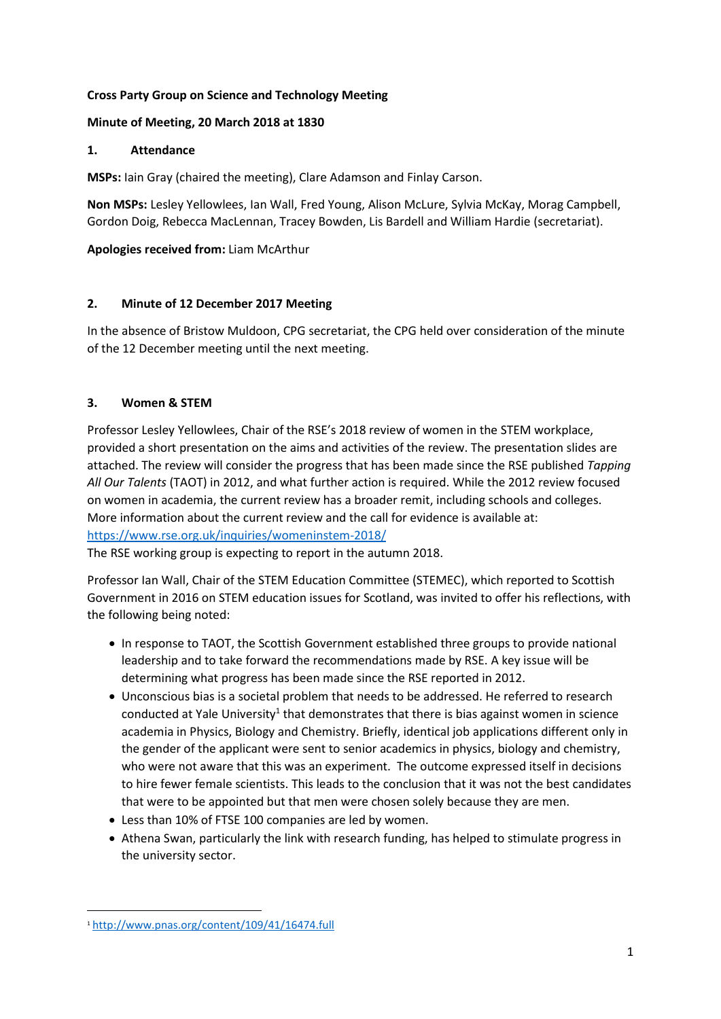# **Cross Party Group on Science and Technology Meeting**

# **Minute of Meeting, 20 March 2018 at 1830**

# **1. Attendance**

**MSPs:** Iain Gray (chaired the meeting), Clare Adamson and Finlay Carson.

**Non MSPs:** Lesley Yellowlees, Ian Wall, Fred Young, Alison McLure, Sylvia McKay, Morag Campbell, Gordon Doig, Rebecca MacLennan, Tracey Bowden, Lis Bardell and William Hardie (secretariat).

# **Apologies received from:** Liam McArthur

# **2. Minute of 12 December 2017 Meeting**

In the absence of Bristow Muldoon, CPG secretariat, the CPG held over consideration of the minute of the 12 December meeting until the next meeting.

# **3. Women & STEM**

Professor Lesley Yellowlees, Chair of the RSE's 2018 review of women in the STEM workplace, provided a short presentation on the aims and activities of the review. The presentation slides are attached. The review will consider the progress that has been made since the RSE published *Tapping All Our Talents* (TAOT) in 2012, and what further action is required. While the 2012 review focused on women in academia, the current review has a broader remit, including schools and colleges. More information about the current review and the call for evidence is available at: <https://www.rse.org.uk/inquiries/womeninstem-2018/>

The RSE working group is expecting to report in the autumn 2018.

Professor Ian Wall, Chair of the STEM Education Committee (STEMEC), which reported to Scottish Government in 2016 on STEM education issues for Scotland, was invited to offer his reflections, with the following being noted:

- In response to TAOT, the Scottish Government established three groups to provide national leadership and to take forward the recommendations made by RSE. A key issue will be determining what progress has been made since the RSE reported in 2012.
- Unconscious bias is a societal problem that needs to be addressed. He referred to research conducted at Yale University<sup>1</sup> that demonstrates that there is bias against women in science academia in Physics, Biology and Chemistry. Briefly, identical job applications different only in the gender of the applicant were sent to senior academics in physics, biology and chemistry, who were not aware that this was an experiment. The outcome expressed itself in decisions to hire fewer female scientists. This leads to the conclusion that it was not the best candidates that were to be appointed but that men were chosen solely because they are men.
- Less than 10% of FTSE 100 companies are led by women.
- Athena Swan, particularly the link with research funding, has helped to stimulate progress in the university sector.

**.** 

<sup>1</sup> <http://www.pnas.org/content/109/41/16474.full>